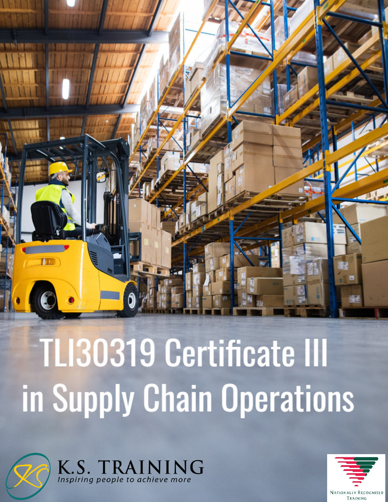

# **TLI30319 Certificate III** in Supply Chain Operations



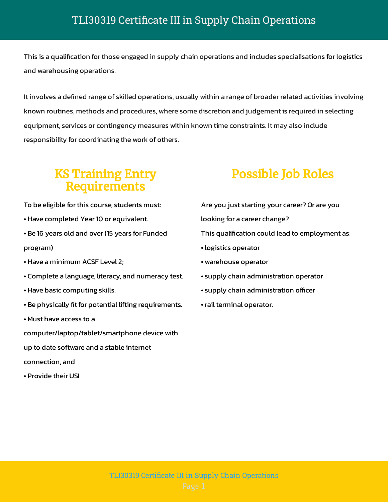This is a qualification for those engaged in supply chain operations and includes specialisations for logistics and warehousing operations.

It involves a defined range of skilled operations, usually within a range of broader related activities involving known routines, methods and procedures, where some discretion and judgement is required in selecting equipment, services or contingency measures within known time constraints. It may also include responsibility for coordinating the work of others.

#### KS Training Entry Requirements

To be eligible for this course, students must:

• Have completed Year 10 or equivalent.

• Be 16 years old and over (15 years for Funded program)

- Have a minimum ACSF Level 2;
- Complete a language, literacy, and numeracy test.
- Have basic computing skills.
- Be physically fit for potential lifting requirements.
- Must have access to a

computer/laptop/tablet/smartphone device with

up to date software and a stable internet

connection, and

• Provide their USI

## Possible Job Roles

- Are you just starting your career? Or are you looking for a career change? This qualification could lead to employment as:
- logistics operator
- warehouse operator
- supply chain administration operator
- supply chain administration officer
- rail terminal operator.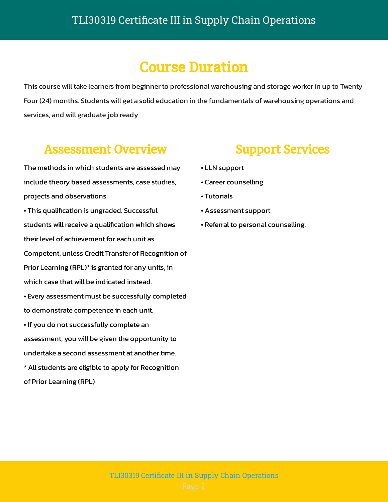# Course Duration

This course will take learners from beginner to professional warehousing and storage worker in up to Twenty Four (24) months. Students will get a solid education in the fundamentals of warehousing operations and services, and will graduate job ready

#### Assessment Overview

The methods in which students are assessed may include theory based assessments, case studies, projects and observations.

• This qualification is ungraded. Successful students will receive a qualification which shows their level of achievement for each unit as Competent, unless Credit Transfer of Recognition of Prior Learning (RPL)\* is granted for any units, in which case that will be indicated instead.

• Every assessment must be successfully completed to demonstrate competence in each unit. • If you do not successfully complete an

assessment, you will be given the opportunity to undertake a second assessment at another time.

\* All students are eligible to apply for Recognition of Prior Learning (RPL)

### Support Services

- LLN support
- Career counselling
- Tutorials
- Assessment support
- Referral to personal counselling.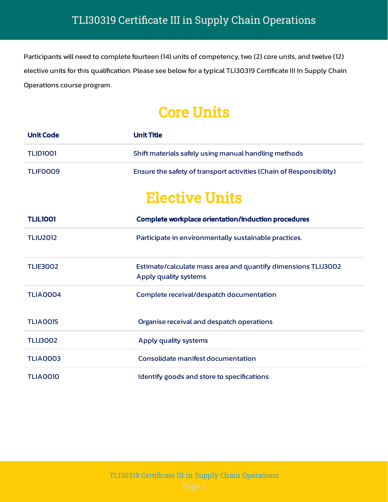Participants will need to complete fourteen (14) units of competency, two (2) core units, and twelve (12) elective units for this qualification. Please see below for a typical TLI30319 Certificate III In Supply Chain Operations course program.

# Core Units

| <b>Unit Code</b> | <b>Unit Title</b>                                                                      |
|------------------|----------------------------------------------------------------------------------------|
| <b>TLID1001</b>  | Shift materials safely using manual handling methods                                   |
| <b>TLIFOOO9</b>  | Ensure the safety of transport activities (Chain of Responsibility)                    |
|                  | <b>Elective Units</b>                                                                  |
| <b>TLIL1001</b>  | Complete workplace orientation/induction procedures                                    |
| <b>TLIU2012</b>  | Participate in environmentally sustainable practices.                                  |
| <b>TLIE3002</b>  | Estimate/calculate mass area and quantify dimensions TLIJ3002<br>Apply quality systems |
| <b>TLIA0004</b>  | Complete receival/despatch documentation                                               |
| <b>TLIA0015</b>  | Organise receival and despatch operations                                              |
| <b>TLIJ3002</b>  | Apply quality systems                                                                  |
| <b>TLIA0003</b>  | Consolidate manifest documentation                                                     |
| <b>TLIA0010</b>  | Identify goods and store to specifications                                             |